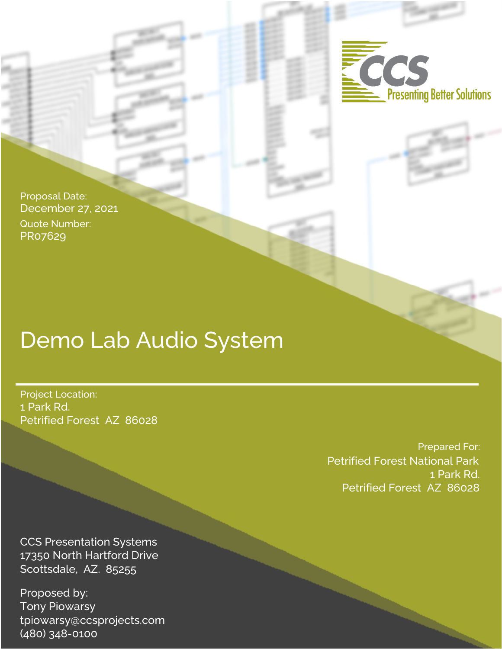

Proposal Date: December 27, 2021 Quote Number: PR07629

# Demo Lab Audio System

Project Location: 1 Park Rd. Petrified Forest AZ 86028

> Prepared For: Petrified Forest National Park 1 Park Rd. Petrified Forest AZ 86028

CCS Presentation Systems 17350 North Hartford Drive Scottsdale, AZ. 85255

Proposed by: Tony Piowarsy tpiowarsy@ccsprojects.com (480) 348-0100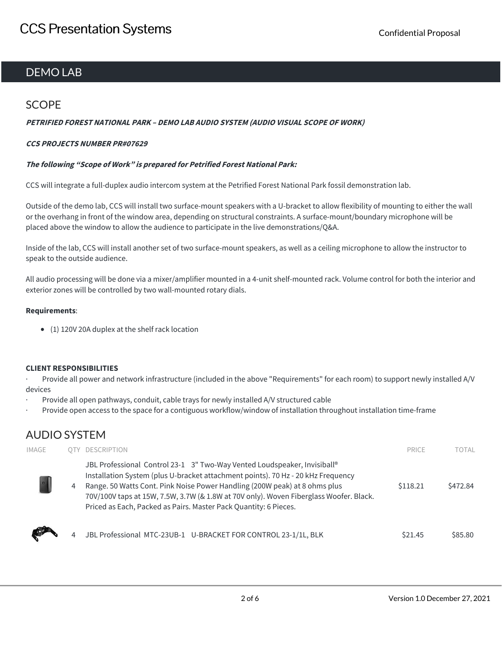## DEMO LAB

## **SCOPE**

#### **PETRIFIED FOREST NATIONAL PARK – DEMO LAB AUDIO SYSTEM (AUDIO VISUAL SCOPE OF WORK)**

#### **CCS PROJECTS NUMBER PR#07629**

#### **The following "Scope of Work" is prepared for Petrified Forest National Park:**

CCS will integrate a full-duplex audio intercom system at the Petrified Forest National Park fossil demonstration lab.

Outside of the demo lab, CCS will install two surface-mount speakers with a U-bracket to allow flexibility of mounting to either the wall or the overhang in front of the window area, depending on structural constraints. A surface-mount/boundary microphone will be placed above the window to allow the audience to participate in the live demonstrations/Q&A.

Inside of the lab, CCS will install another set of two surface-mount speakers, as well as a ceiling microphone to allow the instructor to speak to the outside audience.

All audio processing will be done via a mixer/amplifier mounted in a 4-unit shelf-mounted rack. Volume control for both the interior and exterior zones will be controlled by two wall-mounted rotary dials.

#### **Requirements**:

(1) 120V 20A duplex at the shelf rack location

#### **CLIENT RESPONSIBILITIES**

· Provide all power and network infrastructure (included in the above "Requirements" for each room) to support newly installed A/V devices

- Provide all open pathways, conduit, cable trays for newly installed A/V structured cable
- · Provide open access to the space for a contiguous workflow/window of installation throughout installation time-frame

## AUDIO SYSTEM

| <b>IMAGE</b> |   | OTY DESCRIPTION                                                                                                                                                                                                                                                                                                                                                                                          | PRICE              | TOTAL    |
|--------------|---|----------------------------------------------------------------------------------------------------------------------------------------------------------------------------------------------------------------------------------------------------------------------------------------------------------------------------------------------------------------------------------------------------------|--------------------|----------|
|              | 4 | JBL Professional Control 23-1 3" Two-Way Vented Loudspeaker, Invisiball®<br>Installation System (plus U-bracket attachment points). 70 Hz - 20 kHz Frequency<br>Range. 50 Watts Cont. Pink Noise Power Handling (200W peak) at 8 ohms plus<br>70V/100V taps at 15W, 7.5W, 3.7W (& 1.8W at 70V only). Woven Fiberglass Woofer. Black.<br>Priced as Each, Packed as Pairs. Master Pack Quantity: 6 Pieces. | \$118.21           | \$472.84 |
|              |   | JBL Professional MTC-23UB-1 U-BRACKET FOR CONTROL 23-1/1L, BLK                                                                                                                                                                                                                                                                                                                                           | S <sub>21.45</sub> | \$85.80  |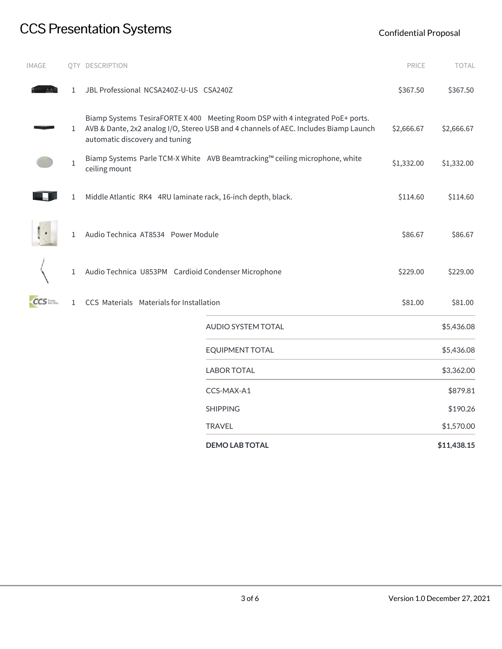# CCS Presentation Systems CCS Presentation Systems

| IMAGE      |              | QTY DESCRIPTION                                              |                                                                                                                                                                        | PRICE      | TOTAL       |
|------------|--------------|--------------------------------------------------------------|------------------------------------------------------------------------------------------------------------------------------------------------------------------------|------------|-------------|
|            | 1            | JBL Professional NCSA240Z-U-US CSA240Z                       |                                                                                                                                                                        | \$367.50   | \$367.50    |
|            | 1            | automatic discovery and tuning                               | Biamp Systems TesiraFORTE X 400 Meeting Room DSP with 4 integrated PoE+ ports.<br>AVB & Dante, 2x2 analog I/O, Stereo USB and 4 channels of AEC. Includes Biamp Launch | \$2,666.67 | \$2,666.67  |
|            | $\mathbf{1}$ | ceiling mount                                                | Biamp Systems Parle TCM-X White AVB Beamtracking™ ceiling microphone, white                                                                                            | \$1,332.00 | \$1,332.00  |
|            | 1            | Middle Atlantic RK4 4RU laminate rack, 16-inch depth, black. |                                                                                                                                                                        |            | \$114.60    |
|            | 1            | Audio Technica AT8534 Power Module                           |                                                                                                                                                                        | \$86.67    | \$86.67     |
|            | 1            | Audio Technica U853PM Cardioid Condenser Microphone          |                                                                                                                                                                        | \$229.00   | \$229.00    |
| <b>CCS</b> | $\mathbf{1}$ | CCS Materials Materials for Installation                     |                                                                                                                                                                        | \$81.00    | \$81.00     |
|            |              |                                                              | AUDIO SYSTEM TOTAL                                                                                                                                                     |            | \$5,436.08  |
|            |              |                                                              | <b>EQUIPMENT TOTAL</b>                                                                                                                                                 |            | \$5,436.08  |
|            |              |                                                              | <b>LABOR TOTAL</b>                                                                                                                                                     |            | \$3,362.00  |
|            |              |                                                              | CCS-MAX-A1                                                                                                                                                             |            | \$879.81    |
|            |              |                                                              | <b>SHIPPING</b>                                                                                                                                                        |            | \$190.26    |
|            |              |                                                              | <b>TRAVEL</b>                                                                                                                                                          |            | \$1,570.00  |
|            |              |                                                              | <b>DEMO LAB TOTAL</b>                                                                                                                                                  |            | \$11,438.15 |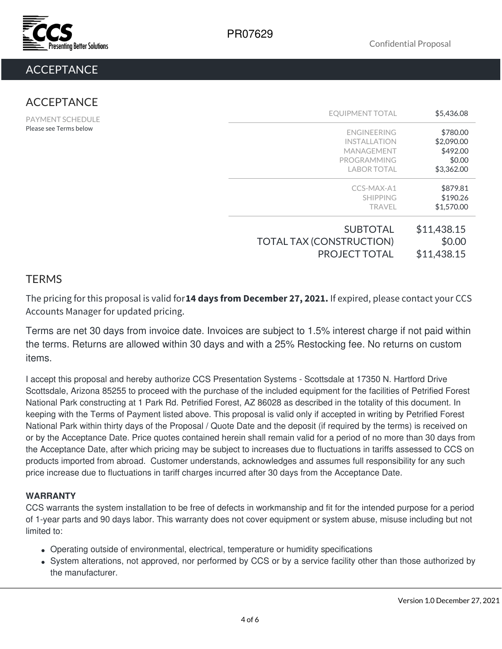

## **ACCEPTANCE**

## ACCEPTANCE

PAYMENT SCHEDULE Please see Terms below

| <b>SUBTOTAL</b>                 | \$11,438.15 |
|---------------------------------|-------------|
| <b>TOTAL TAX (CONSTRUCTION)</b> | \$0.00      |
| <b>PROJECT TOTAL</b>            | \$11,438.15 |
| CCS-MAX-A1                      | \$879.81    |
| <b>SHIPPING</b>                 | \$190.26    |
| <b>TRAVEL</b>                   | \$1,570.00  |
| <b>FNGINFFRING</b>              | \$780.00    |
| <b>INSTALLATION</b>             | \$2,090.00  |
| <b>MANAGEMENT</b>               | \$492.00    |
| PROGRAMMING                     | \$0.00      |
| <b>LABOR TOTAL</b>              | \$3,362.00  |
| EQUIPMENT TOTAL                 | \$5,436.08  |

## **TERMS**

The pricing for this proposal is valid for**14 days from December 27, 2021.** If expired, please contact your CCS Accounts Manager for updated pricing.

Terms are net 30 days from invoice date. Invoices are subject to 1.5% interest charge if not paid within the terms. Returns are allowed within 30 days and with a 25% Restocking fee. No returns on custom items.

I accept this proposal and hereby authorize CCS Presentation Systems - Scottsdale at 17350 N. Hartford Drive Scottsdale, Arizona 85255 to proceed with the purchase of the included equipment for the facilities of Petrified Forest National Park constructing at 1 Park Rd. Petrified Forest, AZ 86028 as described in the totality of this document. In keeping with the Terms of Payment listed above. This proposal is valid only if accepted in writing by Petrified Forest National Park within thirty days of the Proposal / Quote Date and the deposit (if required by the terms) is received on or by the Acceptance Date. Price quotes contained herein shall remain valid for a period of no more than 30 days from the Acceptance Date, after which pricing may be subject to increases due to fluctuations in tariffs assessed to CCS on products imported from abroad. Customer understands, acknowledges and assumes full responsibility for any such price increase due to fluctuations in tariff charges incurred after 30 days from the Acceptance Date.

## **WARRANTY**

CCS warrants the system installation to be free of defects in workmanship and fit for the intended purpose for a period of 1-year parts and 90 days labor. This warranty does not cover equipment or system abuse, misuse including but not limited to:

- Operating outside of environmental, electrical, temperature or humidity specifications
- System alterations, not approved, nor performed by CCS or by a service facility other than those authorized by the manufacturer.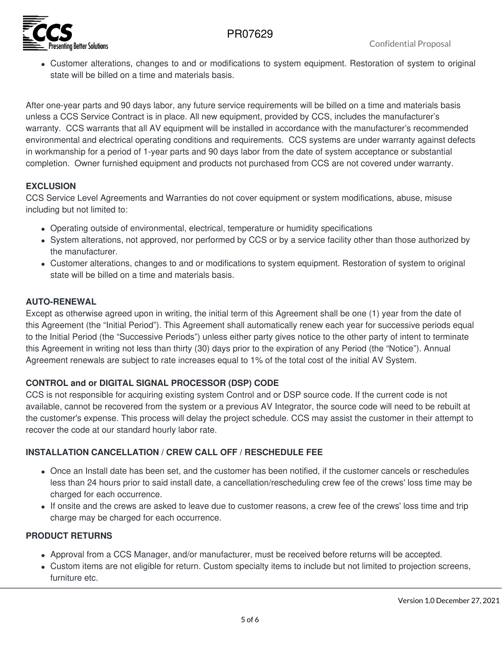## PR07629



Customer alterations, changes to and or modifications to system equipment. Restoration of system to original state will be billed on a time and materials basis.

After one-year parts and 90 days labor, any future service requirements will be billed on a time and materials basis unless a CCS Service Contract is in place. All new equipment, provided by CCS, includes the manufacturer's warranty. CCS warrants that all AV equipment will be installed in accordance with the manufacturer's recommended environmental and electrical operating conditions and requirements. CCS systems are under warranty against defects in workmanship for a period of 1-year parts and 90 days labor from the date of system acceptance or substantial completion. Owner furnished equipment and products not purchased from CCS are not covered under warranty.

### **EXCLUSION**

CCS Service Level Agreements and Warranties do not cover equipment or system modifications, abuse, misuse including but not limited to:

- Operating outside of environmental, electrical, temperature or humidity specifications
- System alterations, not approved, nor performed by CCS or by a service facility other than those authorized by the manufacturer.
- Customer alterations, changes to and or modifications to system equipment. Restoration of system to original state will be billed on a time and materials basis.

### **AUTO-RENEWAL**

Except as otherwise agreed upon in writing, the initial term of this Agreement shall be one (1) year from the date of this Agreement (the "Initial Period"). This Agreement shall automatically renew each year for successive periods equal to the Initial Period (the "Successive Periods") unless either party gives notice to the other party of intent to terminate this Agreement in writing not less than thirty (30) days prior to the expiration of any Period (the "Notice"). Annual Agreement renewals are subject to rate increases equal to 1% of the total cost of the initial AV System.

## **CONTROL and or DIGITAL SIGNAL PROCESSOR (DSP) CODE**

CCS is not responsible for acquiring existing system Control and or DSP source code. If the current code is not available, cannot be recovered from the system or a previous AV Integrator, the source code will need to be rebuilt at the customer's expense. This process will delay the project schedule. CCS may assist the customer in their attempt to recover the code at our standard hourly labor rate.

## **INSTALLATION CANCELLATION / CREW CALL OFF / RESCHEDULE FEE**

- Once an Install date has been set, and the customer has been notified, if the customer cancels or reschedules less than 24 hours prior to said install date, a cancellation/rescheduling crew fee of the crews' loss time may be charged for each occurrence.
- If onsite and the crews are asked to leave due to customer reasons, a crew fee of the crews' loss time and trip charge may be charged for each occurrence.

#### **PRODUCT RETURNS**

- Approval from a CCS Manager, and/or manufacturer, must be received before returns will be accepted.
- Custom items are not eligible for return. Custom specialty items to include but not limited to projection screens, furniture etc.